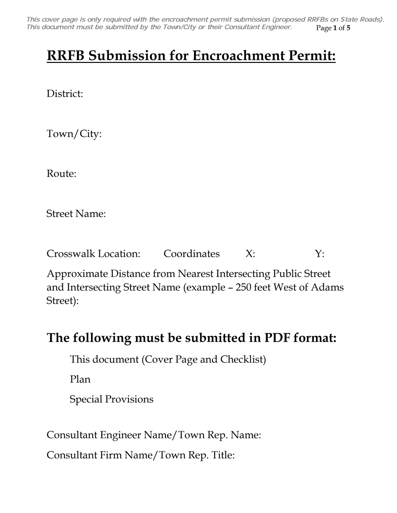Page **1** of **5** *This cover page is only required with the encroachment permit submission (proposed RRFBs on State Roads). This document must be submitted by the Town/City or their Consultant Engineer.*

## **RRFB Submission for Encroachment Permit:**

District:

Town/City:

Route:

Street Name:

Crosswalk Location: Coordinates X: Y:

Approximate Distance from Nearest Intersecting Public Street and Intersecting Street Name (example – 250 feet West of Adams Street):

## **The following must be submitted in PDF format:**

This document (Cover Page and Checklist)

Plan



Consultant Engineer Name/Town Rep. Name:

Consultant Firm Name/Town Rep. Title: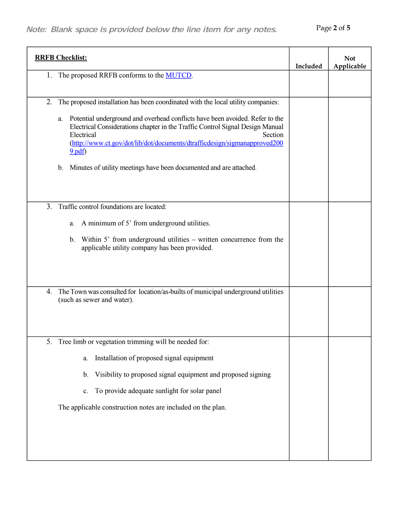| <b>RRFB Checklist:</b>                                                                                                                                                                                                                                                                                                                                                                                                                                        | Included | <b>Not</b><br>Applicable |
|---------------------------------------------------------------------------------------------------------------------------------------------------------------------------------------------------------------------------------------------------------------------------------------------------------------------------------------------------------------------------------------------------------------------------------------------------------------|----------|--------------------------|
| The proposed RRFB conforms to the <b>MUTCD</b> .<br>1.                                                                                                                                                                                                                                                                                                                                                                                                        |          |                          |
| The proposed installation has been coordinated with the local utility companies:<br>2.<br>Potential underground and overhead conflicts have been avoided. Refer to the<br>a.<br>Electrical Considerations chapter in the Traffic Control Signal Design Manual<br>Electrical<br>Section<br>(http://www.ct.gov/dot/lib/dot/documents/dtrafficdesign/sigmanapproved200<br>9.pdf<br>Minutes of utility meetings have been documented and are attached.<br>$b_{-}$ |          |                          |
| Traffic control foundations are located:<br>3 <sub>1</sub><br>A minimum of 5' from underground utilities.<br>a.<br>Within 5' from underground utilities – written concurrence from the<br>$b_{\cdot}$<br>applicable utility company has been provided.                                                                                                                                                                                                        |          |                          |
| The Town was consulted for location/as-builts of municipal underground utilities<br>4.<br>(such as sewer and water).                                                                                                                                                                                                                                                                                                                                          |          |                          |
| Tree limb or vegetation trimming will be needed for:<br>5.<br>Installation of proposed signal equipment<br>a.<br>Visibility to proposed signal equipment and proposed signing<br>$\mathbf b$ .<br>To provide adequate sunlight for solar panel<br>c.<br>The applicable construction notes are included on the plan.                                                                                                                                           |          |                          |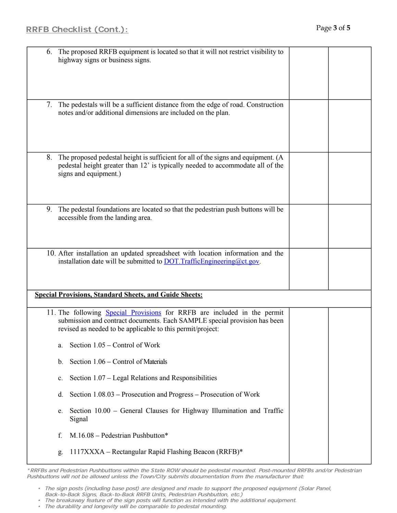| RRFB Checklist (Cont.):                                                                                                                                                                                                                                                                                                                           | Page 3 of 5 |  |
|---------------------------------------------------------------------------------------------------------------------------------------------------------------------------------------------------------------------------------------------------------------------------------------------------------------------------------------------------|-------------|--|
| The proposed RRFB equipment is located so that it will not restrict visibility to<br>6.<br>highway signs or business signs.                                                                                                                                                                                                                       |             |  |
| The pedestals will be a sufficient distance from the edge of road. Construction<br>7.<br>notes and/or additional dimensions are included on the plan.                                                                                                                                                                                             |             |  |
| 8. The proposed pedestal height is sufficient for all of the signs and equipment. (A<br>pedestal height greater than 12' is typically needed to accommodate all of the<br>signs and equipment.)                                                                                                                                                   |             |  |
| The pedestal foundations are located so that the pedestrian push buttons will be<br>9.<br>accessible from the landing area.                                                                                                                                                                                                                       |             |  |
| 10. After installation an updated spreadsheet with location information and the<br>installation date will be submitted to $\underline{DOT}$ . Traffic Engineering ( $\partial_{\mathcal{Q}}ct$ gov.                                                                                                                                               |             |  |
| <b>Special Provisions, Standard Sheets, and Guide Sheets:</b>                                                                                                                                                                                                                                                                                     |             |  |
| 11. The following Special Provisions for RRFB are included in the permit<br>submission and contract documents. Each SAMPLE special provision has been<br>revised as needed to be applicable to this permit/project:                                                                                                                               |             |  |
| Section 1.05 – Control of Work<br>a.                                                                                                                                                                                                                                                                                                              |             |  |
| b. Section 1.06 – Control of Materials                                                                                                                                                                                                                                                                                                            |             |  |
| Section 1.07 – Legal Relations and Responsibilities<br>$\mathbf{c}$ .                                                                                                                                                                                                                                                                             |             |  |
| Section 1.08.03 – Prosecution and Progress – Prosecution of Work<br>d.                                                                                                                                                                                                                                                                            |             |  |
| Section 10.00 – General Clauses for Highway Illumination and Traffic<br>e.<br>Signal                                                                                                                                                                                                                                                              |             |  |
| $M.16.08$ – Pedestrian Pushbutton*<br>f.                                                                                                                                                                                                                                                                                                          |             |  |
| 1117XXXA - Rectangular Rapid Flashing Beacon (RRFB)*<br>g.                                                                                                                                                                                                                                                                                        |             |  |
| *RRFBs and Pedestrian Pushbuttons within the State ROW should be pedestal mounted. Post-mounted RRFBs and/or Pedestrian<br>Pushbuttons will not be allowed unless the Town/City submits documentation from the manufacturer that:<br>· The sign posts (including base post) are designed and made to support the proposed equipment (Solar Panel, |             |  |
| Back-to-Back Signs, Back-to-Back RRFB Units, Pedestrian Pushbutton, etc.)<br>The breakaway feature of the sign posts will function as intended with the additional equipment.<br>• The durability and longevity will be comparable to pedestal mounting.                                                                                          |             |  |

- *The sign posts (including base post) are designed and made to support the proposed equipment (Solar Panel, Back-to-Back Signs, Back-to-Back RRFB Units, Pedestrian Pushbutton, etc.)*
- *The breakaway feature of the sign posts will function as intended with the additional equipment.*
-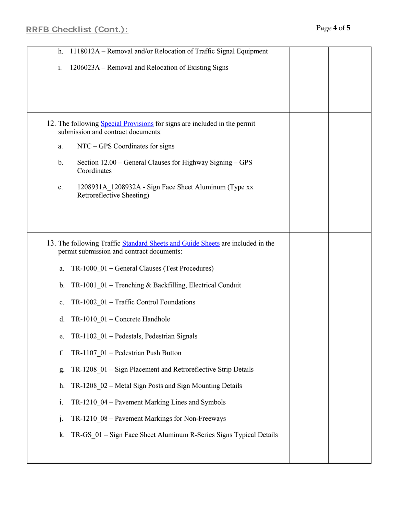| 1118012A - Removal and/or Relocation of Traffic Signal Equipment<br>h.                                                                                                                                                                                                                                                                                                                                                                                                                                                                                                                                                                                                                                                                                                                                         |  |
|----------------------------------------------------------------------------------------------------------------------------------------------------------------------------------------------------------------------------------------------------------------------------------------------------------------------------------------------------------------------------------------------------------------------------------------------------------------------------------------------------------------------------------------------------------------------------------------------------------------------------------------------------------------------------------------------------------------------------------------------------------------------------------------------------------------|--|
| 1206023A - Removal and Relocation of Existing Signs<br>i.                                                                                                                                                                                                                                                                                                                                                                                                                                                                                                                                                                                                                                                                                                                                                      |  |
| 12. The following Special Provisions for signs are included in the permit<br>submission and contract documents:<br>NTC – GPS Coordinates for signs<br>a.<br>Section 12.00 – General Clauses for Highway Signing – GPS<br>$\mathbf{b}$ .<br>Coordinates<br>1208931A 1208932A - Sign Face Sheet Aluminum (Type xx<br>c.<br>Retroreflective Sheeting)                                                                                                                                                                                                                                                                                                                                                                                                                                                             |  |
| 13. The following Traffic Standard Sheets and Guide Sheets are included in the<br>permit submission and contract documents:<br>TR-1000 01 - General Clauses (Test Procedures)<br>a.<br>TR-1001 01 - Trenching & Backfilling, Electrical Conduit<br>$b_{\cdot}$<br>TR-1002 01 - Traffic Control Foundations<br>c.<br>TR-1010 01 - Concrete Handhole<br>$d_{\cdot}$<br>TR-1102 01 - Pedestals, Pedestrian Signals<br>TR-1107_01 - Pedestrian Push Button<br>f.<br>TR-1208 01 - Sign Placement and Retroreflective Strip Details<br>g.<br>TR-1208_02 – Metal Sign Posts and Sign Mounting Details<br>h.<br>TR-1210 04 – Pavement Marking Lines and Symbols<br>$\mathbf{i}$ .<br>TR-1210 08 - Pavement Markings for Non-Freeways<br>j.<br>TR-GS 01 - Sign Face Sheet Aluminum R-Series Signs Typical Details<br>k. |  |